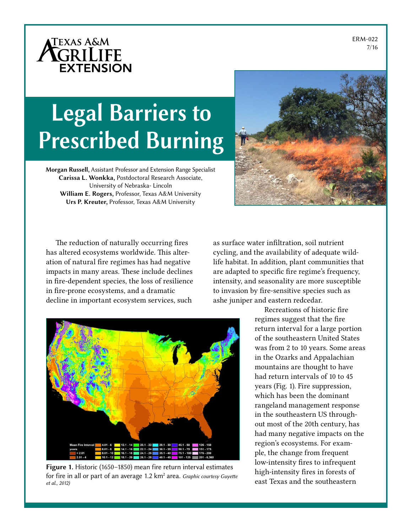ERM-022 7/16



# Legal Barriers to Prescribed Burning

Morgan Russell, Assistant Professor and Extension Range Specialist Carissa L. Wonkka, Postdoctoral Research Associate, University of Nebraska- Lincoln William E. Rogers, Professor, Texas A&M University Urs P. Kreuter, Professor, Texas A&M University

The reduction of naturally occurring fires has altered ecosystems worldwide. This alteration of natural fire regimes has had negative impacts in many areas. These include declines in fire-dependent species, the loss of resilience in fire-prone ecosystems, and a dramatic decline in important ecosystem services, such



as surface water infiltration, soil nutrient cycling, and the availability of adequate wildlife habitat. In addition, plant communities that are adapted to specific fire regime's frequency, intensity, and seasonality are more susceptible to invasion by fire-sensitive species such as ashe juniper and eastern redcedar.



Figure 1. Historic (1650–1850) mean fire return interval estimates for fire in all or part of an average 1.2 km<sup>2</sup> area. *Graphic courtesy Guyette et al., 2012)*

Recreations of historic fire regimes suggest that the fire return interval for a large portion of the southeastern United States was from 2 to 10 years. Some areas in the Ozarks and Appalachian mountains are thought to have had return intervals of 10 to 45 years (Fig. 1). Fire suppression, which has been the dominant rangeland management response in the southeastern US throughout most of the 20th century, has had many negative impacts on the region's ecosystems. For example, the change from frequent low-intensity fires to infrequent high-intensity fires in forests of east Texas and the southeastern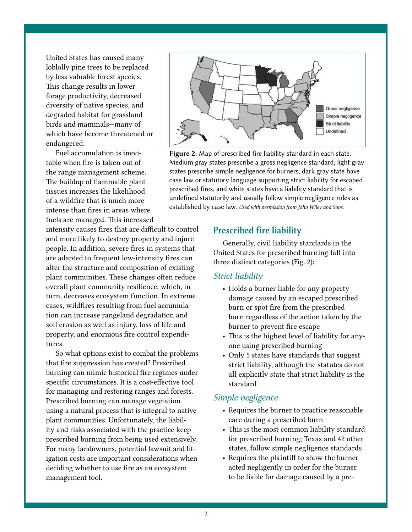United States has caused many loblolly pine trees to be replaced by less valuable forest species. This change results in lower forage productivity, decreased diversity of native species, and degraded habitat for grassland birds and mammals—many of which have become threatened or endangered.

Fuel accumulation is inevitable when fire is taken out of the range management scheme. The buildup of flammable plant tissues increases the likelihood of a wildfire that is much more intense than fires in areas where fuels are managed. This increased

intensity causes fires that are difficult to control and more likely to destroy property and injure people. In addition, severe fires in systems that are adapted to frequent low-intensity fires can alter the structure and composition of existing plant communities. These changes often reduce overall plant community resilience, which, in turn, decreases ecosystem function. In extreme cases, wildfires resulting from fuel accumulation can increase rangeland degradation and soil erosion as well as injury, loss of life and property, and enormous fire control expenditures.

So what options exist to combat the problems that fire suppression has created? Prescribed burning can mimic historical fire regimes under specific circumstances. It is a cost-effective tool for managing and restoring ranges and forests. Prescribed burning can manage vegetation using a natural process that is integral to native plant communities. Unfortunately, the liability and risks associated with the practice keep prescribed burning from being used extensively. For many landowners, potential lawsuit and litigation costs are important considerations when deciding whether to use fire as an ecosystem management tool.



Figure 2. Map of prescribed fire liability standard in each state. Medium gray states prescribe a gross negligence standard, light gray states prescribe simple negligence for burners, dark gray state have case law or statutory language supporting strict liability for escaped prescribed fires, and white states have a liability standard that is undefined statutorily and usually follow simple negligence rules as established by case law. *Used with permission from John Wiley and Sons.*

#### Prescribed fire liability

Generally, civil liability standards in the United States for prescribed burning fall into three distinct categories (Fig. 2):

#### *Strict liability*

- Holds a burner liable for any property damage caused by an escaped prescribed burn or spot fire from the prescribed burn regardless of the action taken by the burner to prevent fire escape
- This is the highest level of liability for anyone using prescribed burning
- Only 5 states have standards that suggest strict liability, although the statutes do not all explicitly state that strict liability is the standard

### *Simple negligence*

- Requires the burner to practice reasonable care during a prescribed burn
- This is the most common liability standard for prescribed burning; Texas and 42 other states, follow simple negligence standards
- Requires the plaintiff to show the burner acted negligently in order for the burner to be liable for damage caused by a pre-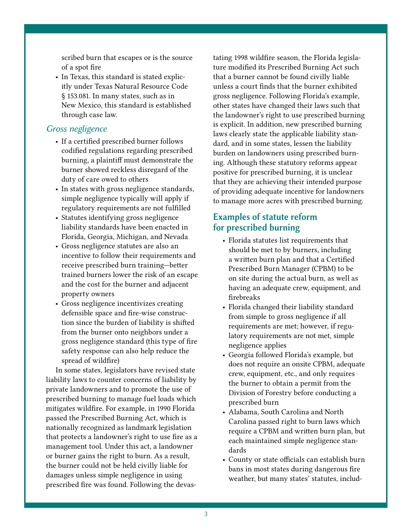scribed burn that escapes or is the source of a spot fire

• In Texas, this standard is stated explicitly under Texas Natural Resource Code § 153.081. In many states, such as in New Mexico, this standard is established through case law.

# *Gross negligence*

- If a certified prescribed burner follows codified regulations regarding prescribed burning, a plaintiff must demonstrate the burner showed reckless disregard of the duty of care owed to others
- In states with gross negligence standards, simple negligence typically will apply if regulatory requirements are not fulfilled
- Statutes identifying gross negligence liability standards have been enacted in Florida, Georgia, Michigan, and Nevada
- Gross negligence statutes are also an incentive to follow their requirements and receive prescribed burn training—better trained burners lower the risk of an escape and the cost for the burner and adjacent property owners
- Gross negligence incentivizes creating defensible space and fire-wise construction since the burden of liability is shifted from the burner onto neighbors under a gross negligence standard (this type of fire safety response can also help reduce the spread of wildfire)

In some states, legislators have revised state liability laws to counter concerns of liability by private landowners and to promote the use of prescribed burning to manage fuel loads which mitigates wildfire. For example, in 1990 Florida passed the Prescribed Burning Act, which is nationally recognized as landmark legislation that protects a landowner's right to use fire as a management tool. Under this act, a landowner or burner gains the right to burn. As a result, the burner could not be held civilly liable for damages unless simple negligence in using prescribed fire was found. Following the devastating 1998 wildfire season, the Florida legislature modified its Prescribed Burning Act such that a burner cannot be found civilly liable unless a court finds that the burner exhibited gross negligence. Following Florida's example, other states have changed their laws such that the landowner's right to use prescribed burning is explicit. In addition, new prescribed burning laws clearly state the applicable liability standard, and in some states, lessen the liability burden on landowners using prescribed burning. Although these statutory reforms appear positive for prescribed burning, it is unclear that they are achieving their intended purpose of providing adequate incentive for landowners to manage more acres with prescribed burning.

# Examples of statute reform for prescribed burning

- Florida statutes list requirements that should be met to by burners, including a written burn plan and that a Certified Prescribed Burn Manager (CPBM) to be on site during the actual burn, as well as having an adequate crew, equipment, and firebreaks
- Florida changed their liability standard from simple to gross negligence if all requirements are met; however, if regulatory requirements are not met, simple negligence applies
- Georgia followed Florida's example, but does not require an onsite CPBM, adequate crew, equipment, etc., and only requires the burner to obtain a permit from the Division of Forestry before conducting a prescribed burn
- Alabama, South Carolina and North Carolina passed right to burn laws which require a CPBM and written burn plan, but each maintained simple negligence standards
- County or state officials can establish burn bans in most states during dangerous fire weather, but many states' statutes, includ-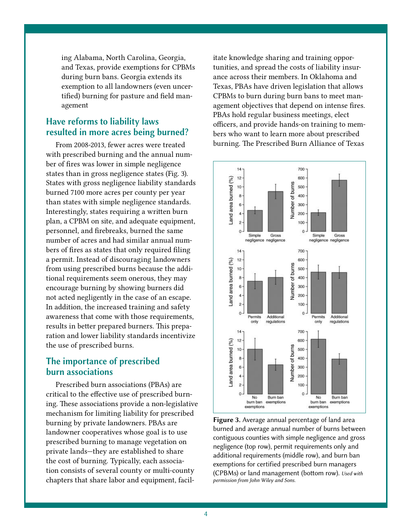ing Alabama, North Carolina, Georgia, and Texas, provide exemptions for CPBMs during burn bans. Georgia extends its exemption to all landowners (even uncertified) burning for pasture and field management

# Have reforms to liability laws resulted in more acres being burned?

From 2008-2013, fewer acres were treated with prescribed burning and the annual number of fires was lower in simple negligence states than in gross negligence states (Fig. 3). States with gross negligence liability standards burned 7100 more acres per county per year than states with simple negligence standards. Interestingly, states requiring a written burn plan, a CPBM on site, and adequate equipment, personnel, and firebreaks, burned the same number of acres and had similar annual numbers of fires as states that only required filing a permit. Instead of discouraging landowners from using prescribed burns because the additional requirements seem onerous, they may encourage burning by showing burners did not acted negligently in the case of an escape. In addition, the increased training and safety awareness that come with those requirements, results in better prepared burners. This preparation and lower liability standards incentivize the use of prescribed burns.

# The importance of prescribed burn associations

Prescribed burn associations (PBAs) are critical to the effective use of prescribed burning. These associations provide a non-legislative mechanism for limiting liability for prescribed burning by private landowners. PBAs are landowner cooperatives whose goal is to use prescribed burning to manage vegetation on private lands—they are established to share the cost of burning. Typically, each association consists of several county or multi-county chapters that share labor and equipment, facilitate knowledge sharing and training opportunities, and spread the costs of liability insurance across their members. In Oklahoma and Texas, PBAs have driven legislation that allows CPBMs to burn during burn bans to meet management objectives that depend on intense fires. PBAs hold regular business meetings, elect officers, and provide hands-on training to members who want to learn more about prescribed burning. The Prescribed Burn Alliance of Texas



Figure 3. Average annual percentage of land area burned and average annual number of burns between contiguous counties with simple negligence and gross negligence (top row), permit requirements only and additional requirements (middle row), and burn ban exemptions for certified prescribed burn managers (CPBMs) or land management (bottom row). *Used with permission from John Wiley and Sons.*